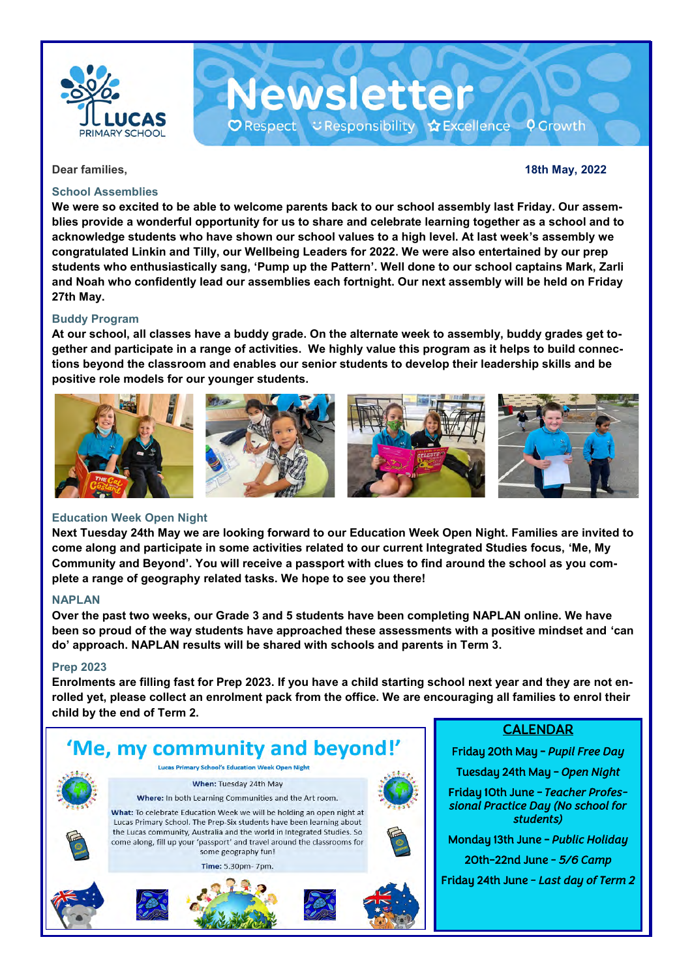

#### **School Assemblies**

**Dear families, 18th May, 2022**

**We were so excited to be able to welcome parents back to our school assembly last Friday. Our assemblies provide a wonderful opportunity for us to share and celebrate learning together as a school and to acknowledge students who have shown our school values to a high level. At last week's assembly we congratulated Linkin and Tilly, our Wellbeing Leaders for 2022. We were also entertained by our prep students who enthusiastically sang, 'Pump up the Pattern'. Well done to our school captains Mark, Zarli and Noah who confidently lead our assemblies each fortnight. Our next assembly will be held on Friday 27th May.**

**Newsletter** 

O Respect こ Responsibility ☆ Excellence ♀ Growth

#### **Buddy Program**

**At our school, all classes have a buddy grade. On the alternate week to assembly, buddy grades get together and participate in a range of activities. We highly value this program as it helps to build connections beyond the classroom and enables our senior students to develop their leadership skills and be positive role models for our younger students.** 



#### **Education Week Open Night**

**Next Tuesday 24th May we are looking forward to our Education Week Open Night. Families are invited to come along and participate in some activities related to our current Integrated Studies focus, 'Me, My Community and Beyond'. You will receive a passport with clues to find around the school as you complete a range of geography related tasks. We hope to see you there!**

#### **NAPLAN**

**Over the past two weeks, our Grade 3 and 5 students have been completing NAPLAN online. We have been so proud of the way students have approached these assessments with a positive mindset and 'can do' approach. NAPLAN results will be shared with schools and parents in Term 3.** 

#### **Prep 2023**

**Enrolments are filling fast for Prep 2023. If you have a child starting school next year and they are not enrolled yet, please collect an enrolment pack from the office. We are encouraging all families to enrol their child by the end of Term 2.** 



### CALENDAR

Friday 20th May - *Pupil Free Day* 

Tuesday 24th May - *Open Night* 

Friday 10th June - *Teacher Professional Practice Day (No school for students)* 

Monday 13th June - *Public Holiday*  20th-22nd June *- 5/6 Camp* 

Friday 24th June *- Last day of Term 2*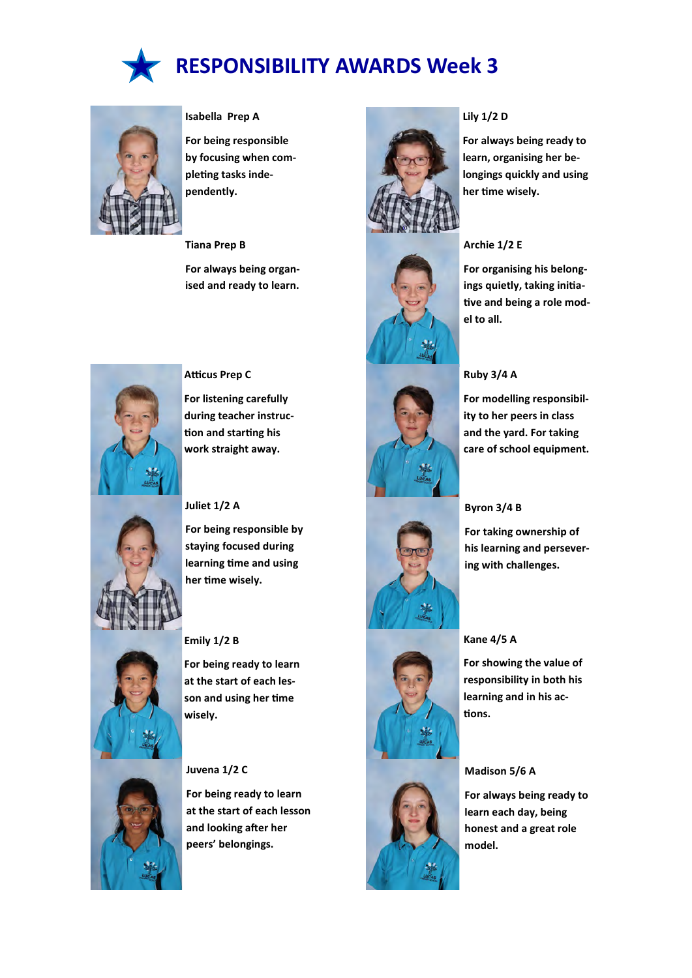



#### **Isabella Prep A**

**For being responsible by focusing when completing tasks independently.**

**Tiana Prep B**

**For always being organised and ready to learn.**



#### **Atticus Prep C**

**For listening carefully during teacher instruction and starting his work straight away.**

#### **Juliet 1/2 A**

**For being responsible by staying focused during learning time and using her time wisely.**



#### **Emily 1/2 B**

**For being ready to learn at the start of each lesson and using her time wisely.**

#### **Juvena 1/2 C**

**For being ready to learn at the start of each lesson and looking after her peers' belongings.**













#### **Lily 1/2 D**

**For always being ready to learn, organising her belongings quickly and using her time wisely.**



#### **Archie 1/2 E**

**For organising his belongings quietly, taking initiative and being a role model to all.**

#### **Ruby 3/4 A**

**For modelling responsibility to her peers in class and the yard. For taking care of school equipment.**

#### **Byron 3/4 B**

**For taking ownership of his learning and persevering with challenges.**

#### **Kane 4/5 A**

**For showing the value of responsibility in both his learning and in his actions.**

#### **Madison 5/6 A**

**For always being ready to learn each day, being honest and a great role model.**

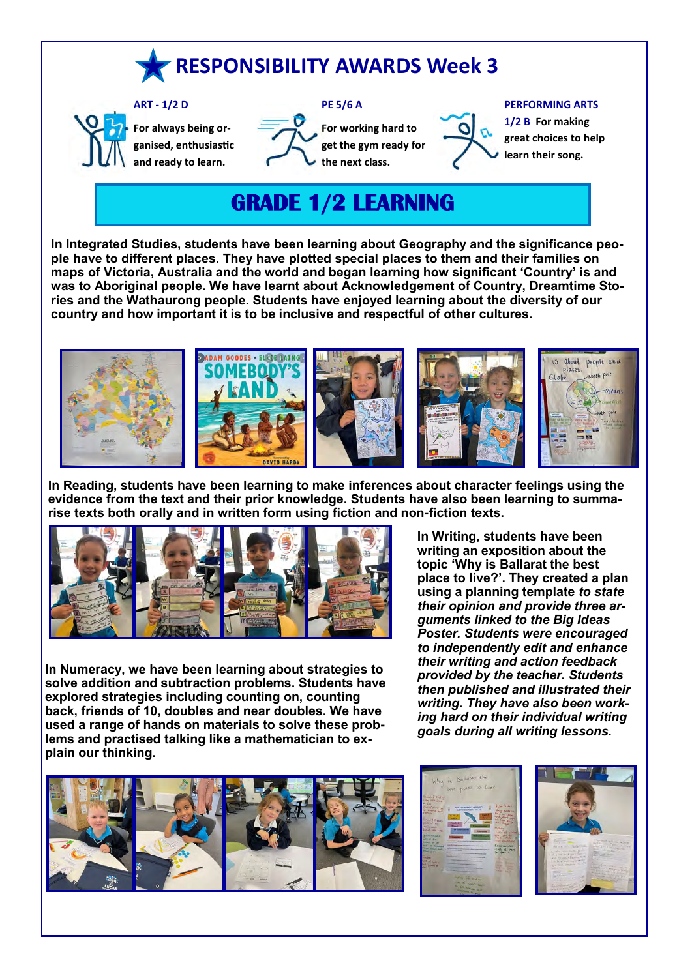# **RESPONSIBILITY AWARDS Week 3**



**For always being organised, enthusiastic and ready to learn.**



**For working hard to get the gym ready for the next class.**



#### **PERFORMING ARTS**

**1/2 B For making great choices to help learn their song.**

## **GRADE 1/2 LEARNING**

**In Integrated Studies, students have been learning about Geography and the significance people have to different places. They have plotted special places to them and their families on maps of Victoria, Australia and the world and began learning how significant 'Country' is and was to Aboriginal people. We have learnt about Acknowledgement of Country, Dreamtime Stories and the Wathaurong people. Students have enjoyed learning about the diversity of our country and how important it is to be inclusive and respectful of other cultures.**



**In Reading, students have been learning to make inferences about character feelings using the evidence from the text and their prior knowledge. Students have also been learning to summarise texts both orally and in written form using fiction and non-fiction texts.**



**In Numeracy, we have been learning about strategies to solve addition and subtraction problems. Students have explored strategies including counting on, counting back, friends of 10, doubles and near doubles. We have used a range of hands on materials to solve these problems and practised talking like a mathematician to explain our thinking.**



**topic 'Why is Ballarat the best place to live?'. They created a plan using a planning template** *to state their opinion and provide three arguments linked to the Big Ideas Poster. Students were encouraged to independently edit and enhance their writing and action feedback provided by the teacher. Students then published and illustrated their writing. They have also been working hard on their individual writing goals during all writing lessons.*

**In Writing, students have been writing an exposition about the**